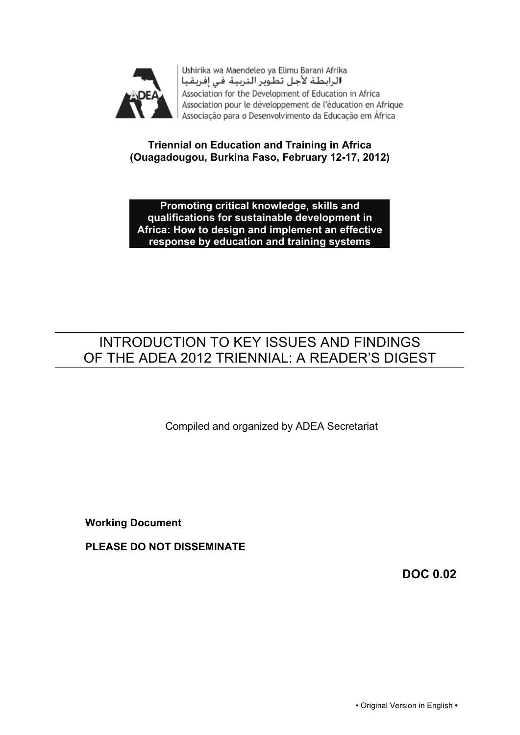

Ushirika wa Maendeleo ya Elimu Barani Afrika الرابطة لأجل تطوير التربية في إفريقيا Association for the Development of Education in Africa Association pour le développement de l'éducation en Afrique Associação para o Desenvolvimento da Educação em África

## **Triennial on Education and Training in Africa (Ouagadougou, Burkina Faso, February 12-17, 2012)**

**Promoting critical knowledge, skills and qualifications for sustainable development in Africa: How to design and implement an effective response by education and training systems**

# INTRODUCTION TO KEY ISSUES AND FINDINGS OF THE ADEA 2012 TRIENNIAL: A READER'S DIGEST

Compiled and organized by ADEA Secretariat

**Working Document**

**PLEASE DO NOT DISSEMINATE**

**DOC 0.02**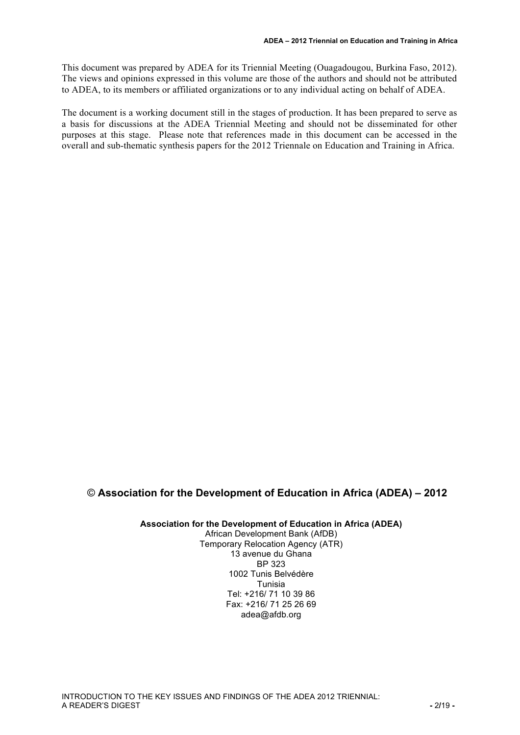This document was prepared by ADEA for its Triennial Meeting (Ouagadougou, Burkina Faso, 2012). The views and opinions expressed in this volume are those of the authors and should not be attributed to ADEA, to its members or affiliated organizations or to any individual acting on behalf of ADEA.

The document is a working document still in the stages of production. It has been prepared to serve as a basis for discussions at the ADEA Triennial Meeting and should not be disseminated for other purposes at this stage. Please note that references made in this document can be accessed in the overall and sub-thematic synthesis papers for the 2012 Triennale on Education and Training in Africa.

#### © **Association for the Development of Education in Africa (ADEA) – 2012**

**Association for the Development of Education in Africa (ADEA)**

African Development Bank (AfDB) Temporary Relocation Agency (ATR) 13 avenue du Ghana BP 323 1002 Tunis Belvédère Tunisia Tel: +216/ 71 10 39 86 Fax: +216/ 71 25 26 69 adea@afdb.org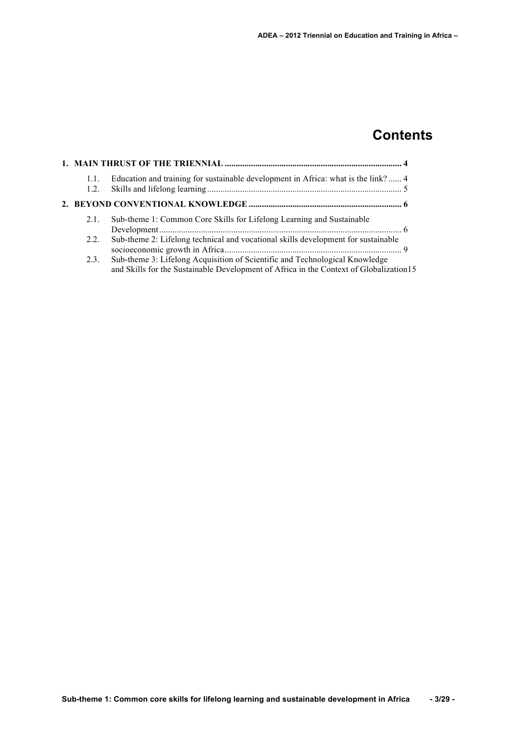# **Contents**

| 1.1.<br>1.2. | Education and training for sustainable development in Africa: what is the link? 4                                                                                      |  |
|--------------|------------------------------------------------------------------------------------------------------------------------------------------------------------------------|--|
|              |                                                                                                                                                                        |  |
| 2.1.         | Sub-theme 1: Common Core Skills for Lifelong Learning and Sustainable                                                                                                  |  |
| 2.2.         | Sub-theme 2: Lifelong technical and vocational skills development for sustainable                                                                                      |  |
| 2.3.         | Sub-theme 3: Lifelong Acquisition of Scientific and Technological Knowledge<br>and Skills for the Sustainable Development of Africa in the Context of Globalization 15 |  |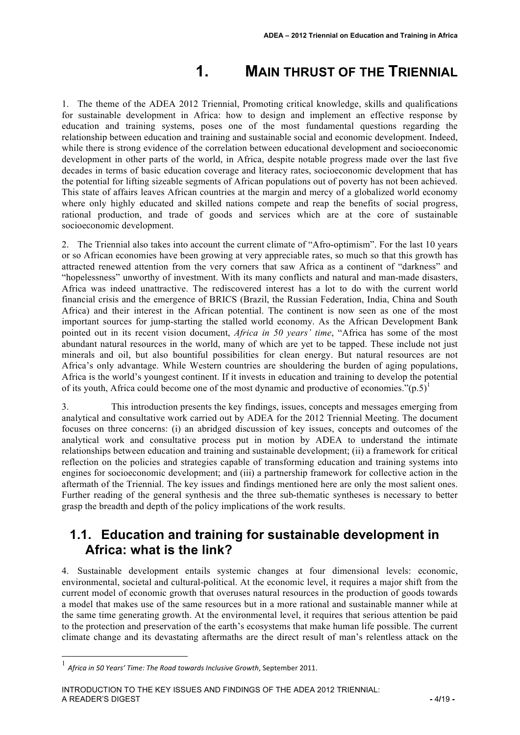# **1. MAIN THRUST OF THE TRIENNIAL**

1. The theme of the ADEA 2012 Triennial, Promoting critical knowledge, skills and qualifications for sustainable development in Africa: how to design and implement an effective response by education and training systems, poses one of the most fundamental questions regarding the relationship between education and training and sustainable social and economic development. Indeed, while there is strong evidence of the correlation between educational development and socioeconomic development in other parts of the world, in Africa, despite notable progress made over the last five decades in terms of basic education coverage and literacy rates, socioeconomic development that has the potential for lifting sizeable segments of African populations out of poverty has not been achieved. This state of affairs leaves African countries at the margin and mercy of a globalized world economy where only highly educated and skilled nations compete and reap the benefits of social progress, rational production, and trade of goods and services which are at the core of sustainable socioeconomic development.

2. The Triennial also takes into account the current climate of "Afro-optimism". For the last 10 years or so African economies have been growing at very appreciable rates, so much so that this growth has attracted renewed attention from the very corners that saw Africa as a continent of "darkness" and "hopelessness" unworthy of investment. With its many conflicts and natural and man-made disasters, Africa was indeed unattractive. The rediscovered interest has a lot to do with the current world financial crisis and the emergence of BRICS (Brazil, the Russian Federation, India, China and South Africa) and their interest in the African potential. The continent is now seen as one of the most important sources for jump-starting the stalled world economy. As the African Development Bank pointed out in its recent vision document, *Africa in 50 years' time*, "Africa has some of the most abundant natural resources in the world, many of which are yet to be tapped. These include not just minerals and oil, but also bountiful possibilities for clean energy. But natural resources are not Africa's only advantage. While Western countries are shouldering the burden of aging populations, Africa is the world's youngest continent. If it invests in education and training to develop the potential of its youth, Africa could become one of the most dynamic and productive of economies." $(p.5)^1$ 

3. This introduction presents the key findings, issues, concepts and messages emerging from analytical and consultative work carried out by ADEA for the 2012 Triennial Meeting. The document focuses on three concerns: (i) an abridged discussion of key issues, concepts and outcomes of the analytical work and consultative process put in motion by ADEA to understand the intimate relationships between education and training and sustainable development; (ii) a framework for critical reflection on the policies and strategies capable of transforming education and training systems into engines for socioeconomic development; and (iii) a partnership framework for collective action in the aftermath of the Triennial. The key issues and findings mentioned here are only the most salient ones. Further reading of the general synthesis and the three sub-thematic syntheses is necessary to better grasp the breadth and depth of the policy implications of the work results.

## **1.1. Education and training for sustainable development in Africa: what is the link?**

4. Sustainable development entails systemic changes at four dimensional levels: economic, environmental, societal and cultural-political. At the economic level, it requires a major shift from the current model of economic growth that overuses natural resources in the production of goods towards a model that makes use of the same resources but in a more rational and sustainable manner while at the same time generating growth. At the environmental level, it requires that serious attention be paid to the protection and preservation of the earth's ecosystems that make human life possible. The current climate change and its devastating aftermaths are the direct result of man's relentless attack on the

 $<sup>1</sup>$  Africa in 50 Years' Time: The Road towards Inclusive Growth, September 2011.</sup>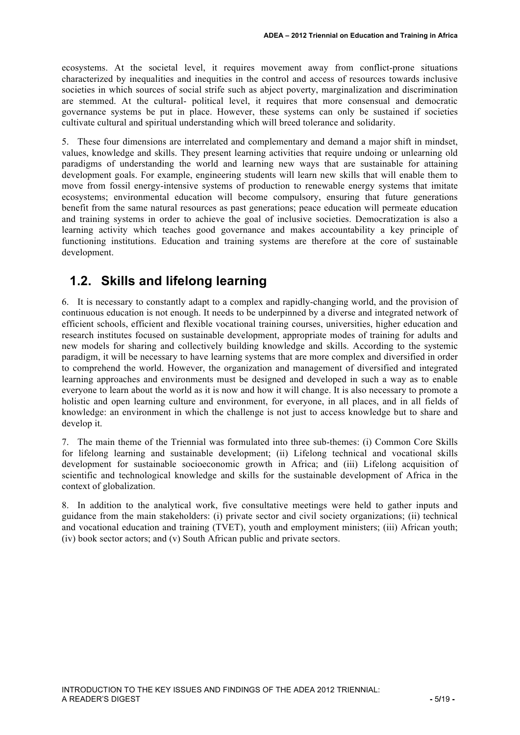ecosystems. At the societal level, it requires movement away from conflict-prone situations characterized by inequalities and inequities in the control and access of resources towards inclusive societies in which sources of social strife such as abject poverty, marginalization and discrimination are stemmed. At the cultural- political level, it requires that more consensual and democratic governance systems be put in place. However, these systems can only be sustained if societies cultivate cultural and spiritual understanding which will breed tolerance and solidarity.

5. These four dimensions are interrelated and complementary and demand a major shift in mindset, values, knowledge and skills. They present learning activities that require undoing or unlearning old paradigms of understanding the world and learning new ways that are sustainable for attaining development goals. For example, engineering students will learn new skills that will enable them to move from fossil energy-intensive systems of production to renewable energy systems that imitate ecosystems; environmental education will become compulsory, ensuring that future generations benefit from the same natural resources as past generations; peace education will permeate education and training systems in order to achieve the goal of inclusive societies. Democratization is also a learning activity which teaches good governance and makes accountability a key principle of functioning institutions. Education and training systems are therefore at the core of sustainable development.

# **1.2. Skills and lifelong learning**

6. It is necessary to constantly adapt to a complex and rapidly-changing world, and the provision of continuous education is not enough. It needs to be underpinned by a diverse and integrated network of efficient schools, efficient and flexible vocational training courses, universities, higher education and research institutes focused on sustainable development, appropriate modes of training for adults and new models for sharing and collectively building knowledge and skills. According to the systemic paradigm, it will be necessary to have learning systems that are more complex and diversified in order to comprehend the world. However, the organization and management of diversified and integrated learning approaches and environments must be designed and developed in such a way as to enable everyone to learn about the world as it is now and how it will change. It is also necessary to promote a holistic and open learning culture and environment, for everyone, in all places, and in all fields of knowledge: an environment in which the challenge is not just to access knowledge but to share and develop it.

7. The main theme of the Triennial was formulated into three sub-themes: (i) Common Core Skills for lifelong learning and sustainable development; (ii) Lifelong technical and vocational skills development for sustainable socioeconomic growth in Africa; and (iii) Lifelong acquisition of scientific and technological knowledge and skills for the sustainable development of Africa in the context of globalization.

8. In addition to the analytical work, five consultative meetings were held to gather inputs and guidance from the main stakeholders: (i) private sector and civil society organizations; (ii) technical and vocational education and training (TVET), youth and employment ministers; (iii) African youth; (iv) book sector actors; and (v) South African public and private sectors.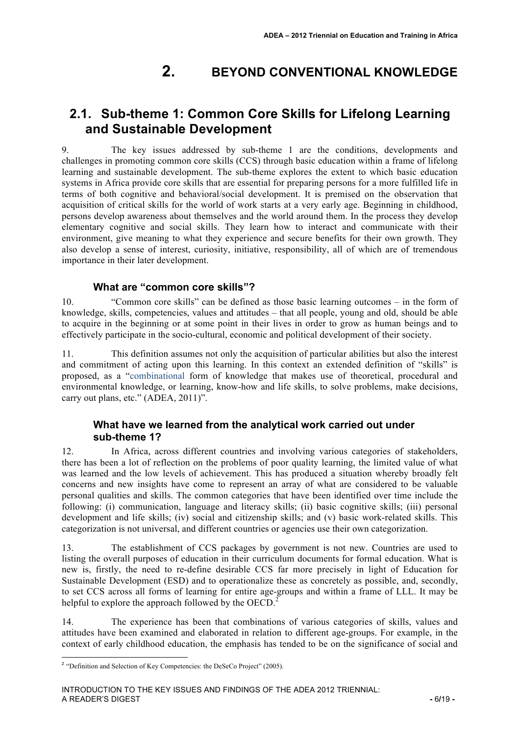# **2. BEYOND CONVENTIONAL KNOWLEDGE**

# **2.1. Sub-theme 1: Common Core Skills for Lifelong Learning and Sustainable Development**

9. The key issues addressed by sub-theme 1 are the conditions, developments and challenges in promoting common core skills (CCS) through basic education within a frame of lifelong learning and sustainable development. The sub-theme explores the extent to which basic education systems in Africa provide core skills that are essential for preparing persons for a more fulfilled life in terms of both cognitive and behavioral/social development. It is premised on the observation that acquisition of critical skills for the world of work starts at a very early age. Beginning in childhood, persons develop awareness about themselves and the world around them. In the process they develop elementary cognitive and social skills. They learn how to interact and communicate with their environment, give meaning to what they experience and secure benefits for their own growth. They also develop a sense of interest, curiosity, initiative, responsibility, all of which are of tremendous importance in their later development.

#### **What are "common core skills"?**

10. "Common core skills" can be defined as those basic learning outcomes – in the form of knowledge, skills, competencies, values and attitudes – that all people, young and old, should be able to acquire in the beginning or at some point in their lives in order to grow as human beings and to effectively participate in the socio-cultural, economic and political development of their society.

11. This definition assumes not only the acquisition of particular abilities but also the interest and commitment of acting upon this learning. In this context an extended definition of "skills" is proposed, as a "combinational form of knowledge that makes use of theoretical, procedural and environmental knowledge, or learning, know-how and life skills, to solve problems, make decisions, carry out plans, etc." (ADEA, 2011)".

#### **What have we learned from the analytical work carried out under sub-theme 1?**

12. In Africa, across different countries and involving various categories of stakeholders, there has been a lot of reflection on the problems of poor quality learning, the limited value of what was learned and the low levels of achievement. This has produced a situation whereby broadly felt concerns and new insights have come to represent an array of what are considered to be valuable personal qualities and skills. The common categories that have been identified over time include the following: (i) communication, language and literacy skills; (ii) basic cognitive skills; (iii) personal development and life skills; (iv) social and citizenship skills; and (v) basic work-related skills. This categorization is not universal, and different countries or agencies use their own categorization.

13. The establishment of CCS packages by government is not new. Countries are used to listing the overall purposes of education in their curriculum documents for formal education. What is new is, firstly, the need to re-define desirable CCS far more precisely in light of Education for Sustainable Development (ESD) and to operationalize these as concretely as possible, and, secondly, to set CCS across all forms of learning for entire age-groups and within a frame of LLL. It may be helpful to explore the approach followed by the OECD.<sup>2</sup>

14. The experience has been that combinations of various categories of skills, values and attitudes have been examined and elaborated in relation to different age-groups. For example, in the context of early childhood education, the emphasis has tended to be on the significance of social and

<sup>&</sup>lt;sup>2</sup> "Definition and Selection of Key Competencies: the DeSeCo Project" (2005).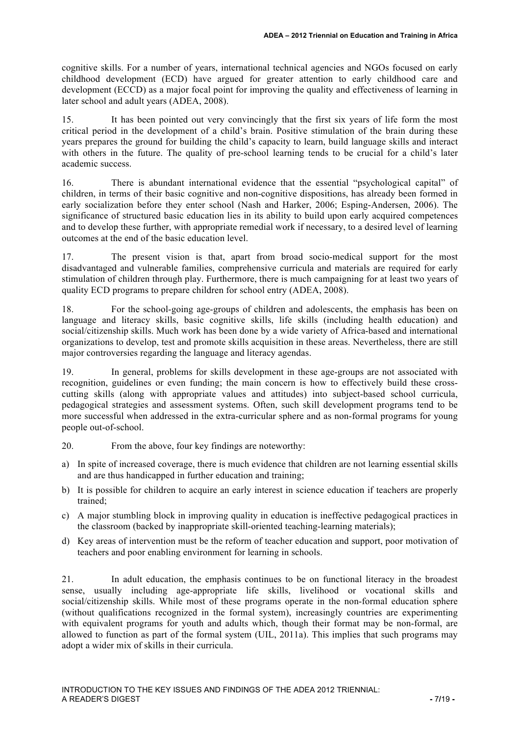cognitive skills. For a number of years, international technical agencies and NGOs focused on early childhood development (ECD) have argued for greater attention to early childhood care and development (ECCD) as a major focal point for improving the quality and effectiveness of learning in later school and adult years (ADEA, 2008).

15. It has been pointed out very convincingly that the first six years of life form the most critical period in the development of a child's brain. Positive stimulation of the brain during these years prepares the ground for building the child's capacity to learn, build language skills and interact with others in the future. The quality of pre-school learning tends to be crucial for a child's later academic success.

16. There is abundant international evidence that the essential "psychological capital" of children, in terms of their basic cognitive and non-cognitive dispositions, has already been formed in early socialization before they enter school (Nash and Harker, 2006; Esping-Andersen, 2006). The significance of structured basic education lies in its ability to build upon early acquired competences and to develop these further, with appropriate remedial work if necessary, to a desired level of learning outcomes at the end of the basic education level.

17. The present vision is that, apart from broad socio-medical support for the most disadvantaged and vulnerable families, comprehensive curricula and materials are required for early stimulation of children through play. Furthermore, there is much campaigning for at least two years of quality ECD programs to prepare children for school entry (ADEA, 2008).

18. For the school-going age-groups of children and adolescents, the emphasis has been on language and literacy skills, basic cognitive skills, life skills (including health education) and social/citizenship skills. Much work has been done by a wide variety of Africa-based and international organizations to develop, test and promote skills acquisition in these areas. Nevertheless, there are still major controversies regarding the language and literacy agendas.

19. In general, problems for skills development in these age-groups are not associated with recognition, guidelines or even funding; the main concern is how to effectively build these crosscutting skills (along with appropriate values and attitudes) into subject-based school curricula, pedagogical strategies and assessment systems. Often, such skill development programs tend to be more successful when addressed in the extra-curricular sphere and as non-formal programs for young people out-of-school.

- 20. From the above, four key findings are noteworthy:
- a) In spite of increased coverage, there is much evidence that children are not learning essential skills and are thus handicapped in further education and training;
- b) It is possible for children to acquire an early interest in science education if teachers are properly trained;
- c) A major stumbling block in improving quality in education is ineffective pedagogical practices in the classroom (backed by inappropriate skill-oriented teaching-learning materials);
- d) Key areas of intervention must be the reform of teacher education and support, poor motivation of teachers and poor enabling environment for learning in schools.

21. In adult education, the emphasis continues to be on functional literacy in the broadest sense, usually including age-appropriate life skills, livelihood or vocational skills and social/citizenship skills. While most of these programs operate in the non-formal education sphere (without qualifications recognized in the formal system), increasingly countries are experimenting with equivalent programs for youth and adults which, though their format may be non-formal, are allowed to function as part of the formal system (UIL, 2011a). This implies that such programs may adopt a wider mix of skills in their curricula.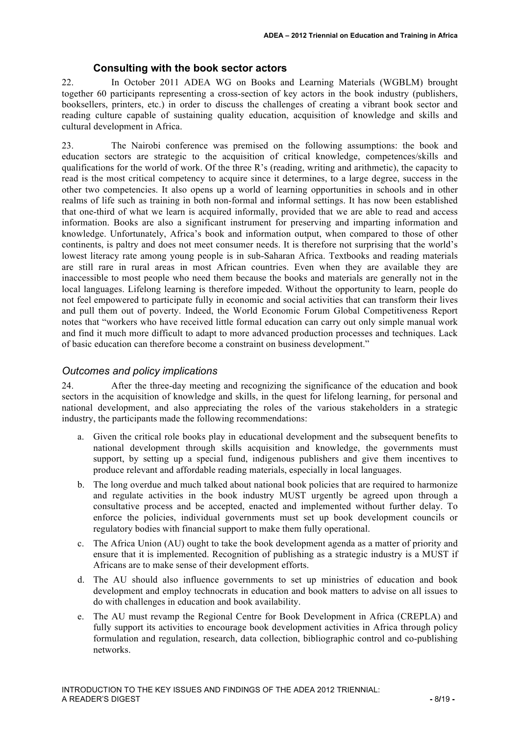#### **Consulting with the book sector actors**

22. In October 2011 ADEA WG on Books and Learning Materials (WGBLM) brought together 60 participants representing a cross-section of key actors in the book industry (publishers, booksellers, printers, etc.) in order to discuss the challenges of creating a vibrant book sector and reading culture capable of sustaining quality education, acquisition of knowledge and skills and cultural development in Africa.

23. The Nairobi conference was premised on the following assumptions: the book and education sectors are strategic to the acquisition of critical knowledge, competences/skills and qualifications for the world of work. Of the three R's (reading, writing and arithmetic), the capacity to read is the most critical competency to acquire since it determines, to a large degree, success in the other two competencies. It also opens up a world of learning opportunities in schools and in other realms of life such as training in both non-formal and informal settings. It has now been established that one-third of what we learn is acquired informally, provided that we are able to read and access information. Books are also a significant instrument for preserving and imparting information and knowledge. Unfortunately, Africa's book and information output, when compared to those of other continents, is paltry and does not meet consumer needs. It is therefore not surprising that the world's lowest literacy rate among young people is in sub-Saharan Africa. Textbooks and reading materials are still rare in rural areas in most African countries. Even when they are available they are inaccessible to most people who need them because the books and materials are generally not in the local languages. Lifelong learning is therefore impeded. Without the opportunity to learn, people do not feel empowered to participate fully in economic and social activities that can transform their lives and pull them out of poverty. Indeed, the World Economic Forum Global Competitiveness Report notes that "workers who have received little formal education can carry out only simple manual work and find it much more difficult to adapt to more advanced production processes and techniques. Lack of basic education can therefore become a constraint on business development."

#### *Outcomes and policy implications*

24. After the three-day meeting and recognizing the significance of the education and book sectors in the acquisition of knowledge and skills, in the quest for lifelong learning, for personal and national development, and also appreciating the roles of the various stakeholders in a strategic industry, the participants made the following recommendations:

- a. Given the critical role books play in educational development and the subsequent benefits to national development through skills acquisition and knowledge, the governments must support, by setting up a special fund, indigenous publishers and give them incentives to produce relevant and affordable reading materials, especially in local languages.
- b. The long overdue and much talked about national book policies that are required to harmonize and regulate activities in the book industry MUST urgently be agreed upon through a consultative process and be accepted, enacted and implemented without further delay. To enforce the policies, individual governments must set up book development councils or regulatory bodies with financial support to make them fully operational.
- c. The Africa Union (AU) ought to take the book development agenda as a matter of priority and ensure that it is implemented. Recognition of publishing as a strategic industry is a MUST if Africans are to make sense of their development efforts.
- d. The AU should also influence governments to set up ministries of education and book development and employ technocrats in education and book matters to advise on all issues to do with challenges in education and book availability.
- e. The AU must revamp the Regional Centre for Book Development in Africa (CREPLA) and fully support its activities to encourage book development activities in Africa through policy formulation and regulation, research, data collection, bibliographic control and co-publishing networks.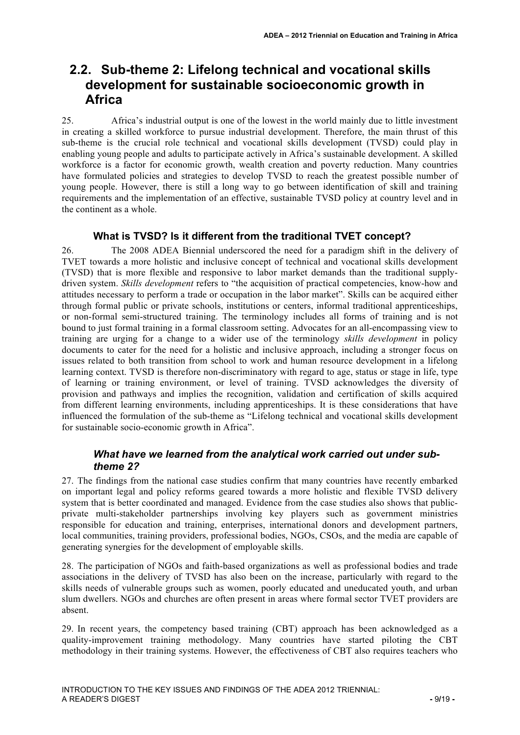# **2.2. Sub-theme 2: Lifelong technical and vocational skills development for sustainable socioeconomic growth in Africa**

25. Africa's industrial output is one of the lowest in the world mainly due to little investment in creating a skilled workforce to pursue industrial development. Therefore, the main thrust of this sub-theme is the crucial role technical and vocational skills development (TVSD) could play in enabling young people and adults to participate actively in Africa's sustainable development. A skilled workforce is a factor for economic growth, wealth creation and poverty reduction. Many countries have formulated policies and strategies to develop TVSD to reach the greatest possible number of young people. However, there is still a long way to go between identification of skill and training requirements and the implementation of an effective, sustainable TVSD policy at country level and in the continent as a whole.

#### **What is TVSD? Is it different from the traditional TVET concept?**

26. The 2008 ADEA Biennial underscored the need for a paradigm shift in the delivery of TVET towards a more holistic and inclusive concept of technical and vocational skills development (TVSD) that is more flexible and responsive to labor market demands than the traditional supplydriven system. *Skills development* refers to "the acquisition of practical competencies, know-how and attitudes necessary to perform a trade or occupation in the labor market". Skills can be acquired either through formal public or private schools, institutions or centers, informal traditional apprenticeships, or non-formal semi-structured training. The terminology includes all forms of training and is not bound to just formal training in a formal classroom setting. Advocates for an all-encompassing view to training are urging for a change to a wider use of the terminology *skills development* in policy documents to cater for the need for a holistic and inclusive approach, including a stronger focus on issues related to both transition from school to work and human resource development in a lifelong learning context. TVSD is therefore non-discriminatory with regard to age, status or stage in life, type of learning or training environment, or level of training. TVSD acknowledges the diversity of provision and pathways and implies the recognition, validation and certification of skills acquired from different learning environments, including apprenticeships. It is these considerations that have influenced the formulation of the sub-theme as "Lifelong technical and vocational skills development for sustainable socio-economic growth in Africa".

### *What have we learned from the analytical work carried out under subtheme 2?*

27. The findings from the national case studies confirm that many countries have recently embarked on important legal and policy reforms geared towards a more holistic and flexible TVSD delivery system that is better coordinated and managed. Evidence from the case studies also shows that publicprivate multi-stakeholder partnerships involving key players such as government ministries responsible for education and training, enterprises, international donors and development partners, local communities, training providers, professional bodies, NGOs, CSOs, and the media are capable of generating synergies for the development of employable skills.

28. The participation of NGOs and faith-based organizations as well as professional bodies and trade associations in the delivery of TVSD has also been on the increase, particularly with regard to the skills needs of vulnerable groups such as women, poorly educated and uneducated youth, and urban slum dwellers. NGOs and churches are often present in areas where formal sector TVET providers are absent.

29. In recent years, the competency based training (CBT) approach has been acknowledged as a quality-improvement training methodology. Many countries have started piloting the CBT methodology in their training systems. However, the effectiveness of CBT also requires teachers who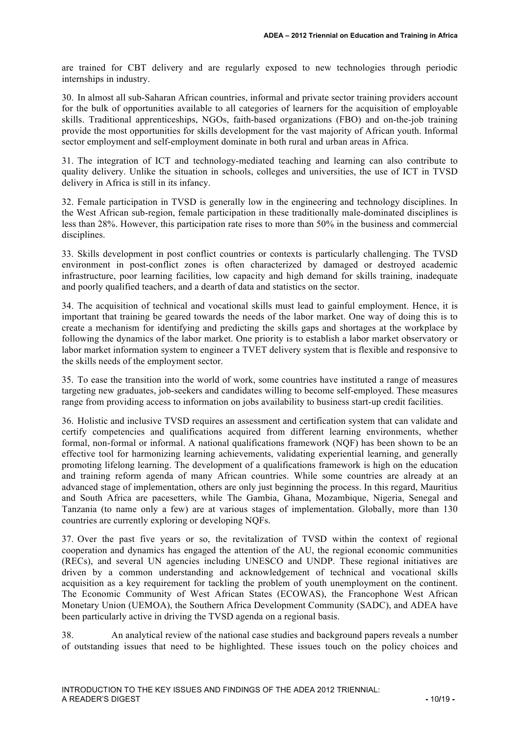are trained for CBT delivery and are regularly exposed to new technologies through periodic internships in industry.

30. In almost all sub-Saharan African countries, informal and private sector training providers account for the bulk of opportunities available to all categories of learners for the acquisition of employable skills. Traditional apprenticeships, NGOs, faith-based organizations (FBO) and on-the-job training provide the most opportunities for skills development for the vast majority of African youth. Informal sector employment and self-employment dominate in both rural and urban areas in Africa.

31. The integration of ICT and technology-mediated teaching and learning can also contribute to quality delivery. Unlike the situation in schools, colleges and universities, the use of ICT in TVSD delivery in Africa is still in its infancy.

32. Female participation in TVSD is generally low in the engineering and technology disciplines. In the West African sub-region, female participation in these traditionally male-dominated disciplines is less than 28%. However, this participation rate rises to more than 50% in the business and commercial disciplines.

33. Skills development in post conflict countries or contexts is particularly challenging. The TVSD environment in post-conflict zones is often characterized by damaged or destroyed academic infrastructure, poor learning facilities, low capacity and high demand for skills training, inadequate and poorly qualified teachers, and a dearth of data and statistics on the sector.

34. The acquisition of technical and vocational skills must lead to gainful employment. Hence, it is important that training be geared towards the needs of the labor market. One way of doing this is to create a mechanism for identifying and predicting the skills gaps and shortages at the workplace by following the dynamics of the labor market. One priority is to establish a labor market observatory or labor market information system to engineer a TVET delivery system that is flexible and responsive to the skills needs of the employment sector.

35. To ease the transition into the world of work, some countries have instituted a range of measures targeting new graduates, job-seekers and candidates willing to become self-employed. These measures range from providing access to information on jobs availability to business start-up credit facilities.

36. Holistic and inclusive TVSD requires an assessment and certification system that can validate and certify competencies and qualifications acquired from different learning environments, whether formal, non-formal or informal. A national qualifications framework (NQF) has been shown to be an effective tool for harmonizing learning achievements, validating experiential learning, and generally promoting lifelong learning. The development of a qualifications framework is high on the education and training reform agenda of many African countries. While some countries are already at an advanced stage of implementation, others are only just beginning the process. In this regard, Mauritius and South Africa are pacesetters, while The Gambia, Ghana, Mozambique, Nigeria, Senegal and Tanzania (to name only a few) are at various stages of implementation. Globally, more than 130 countries are currently exploring or developing NQFs.

37. Over the past five years or so, the revitalization of TVSD within the context of regional cooperation and dynamics has engaged the attention of the AU, the regional economic communities (RECs), and several UN agencies including UNESCO and UNDP. These regional initiatives are driven by a common understanding and acknowledgement of technical and vocational skills acquisition as a key requirement for tackling the problem of youth unemployment on the continent. The Economic Community of West African States (ECOWAS), the Francophone West African Monetary Union (UEMOA), the Southern Africa Development Community (SADC), and ADEA have been particularly active in driving the TVSD agenda on a regional basis.

38. An analytical review of the national case studies and background papers reveals a number of outstanding issues that need to be highlighted. These issues touch on the policy choices and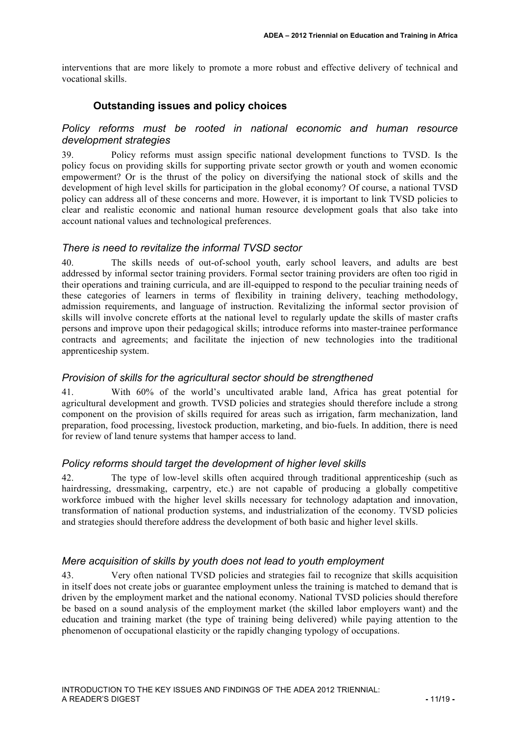interventions that are more likely to promote a more robust and effective delivery of technical and vocational skills.

## **Outstanding issues and policy choices**

#### *Policy reforms must be rooted in national economic and human resource development strategies*

39. Policy reforms must assign specific national development functions to TVSD. Is the policy focus on providing skills for supporting private sector growth or youth and women economic empowerment? Or is the thrust of the policy on diversifying the national stock of skills and the development of high level skills for participation in the global economy? Of course, a national TVSD policy can address all of these concerns and more. However, it is important to link TVSD policies to clear and realistic economic and national human resource development goals that also take into account national values and technological preferences.

#### *There is need to revitalize the informal TVSD sector*

40. The skills needs of out-of-school youth, early school leavers, and adults are best addressed by informal sector training providers. Formal sector training providers are often too rigid in their operations and training curricula, and are ill-equipped to respond to the peculiar training needs of these categories of learners in terms of flexibility in training delivery, teaching methodology, admission requirements, and language of instruction. Revitalizing the informal sector provision of skills will involve concrete efforts at the national level to regularly update the skills of master crafts persons and improve upon their pedagogical skills; introduce reforms into master-trainee performance contracts and agreements; and facilitate the injection of new technologies into the traditional apprenticeship system.

### *Provision of skills for the agricultural sector should be strengthened*

41. With 60% of the world's uncultivated arable land, Africa has great potential for agricultural development and growth. TVSD policies and strategies should therefore include a strong component on the provision of skills required for areas such as irrigation, farm mechanization, land preparation, food processing, livestock production, marketing, and bio-fuels. In addition, there is need for review of land tenure systems that hamper access to land.

### *Policy reforms should target the development of higher level skills*

42. The type of low-level skills often acquired through traditional apprenticeship (such as hairdressing, dressmaking, carpentry, etc.) are not capable of producing a globally competitive workforce imbued with the higher level skills necessary for technology adaptation and innovation, transformation of national production systems, and industrialization of the economy. TVSD policies and strategies should therefore address the development of both basic and higher level skills.

## *Mere acquisition of skills by youth does not lead to youth employment*

43. Very often national TVSD policies and strategies fail to recognize that skills acquisition in itself does not create jobs or guarantee employment unless the training is matched to demand that is driven by the employment market and the national economy. National TVSD policies should therefore be based on a sound analysis of the employment market (the skilled labor employers want) and the education and training market (the type of training being delivered) while paying attention to the phenomenon of occupational elasticity or the rapidly changing typology of occupations.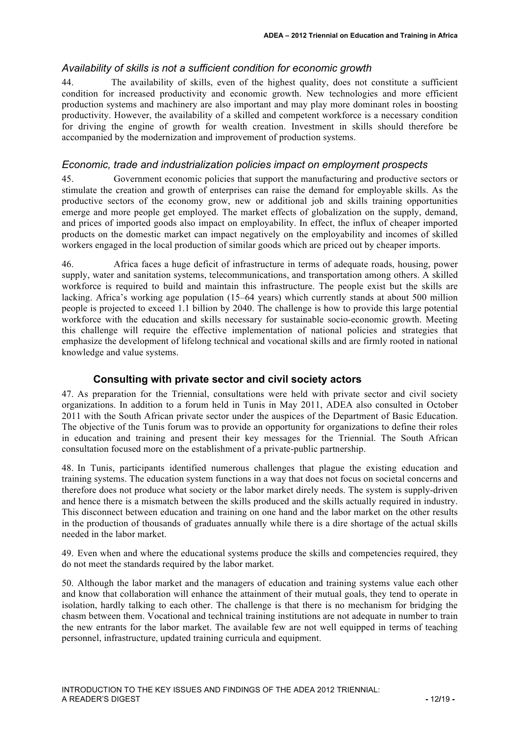#### *Availability of skills is not a sufficient condition for economic growth*

44. The availability of skills, even of the highest quality, does not constitute a sufficient condition for increased productivity and economic growth. New technologies and more efficient production systems and machinery are also important and may play more dominant roles in boosting productivity. However, the availability of a skilled and competent workforce is a necessary condition for driving the engine of growth for wealth creation. Investment in skills should therefore be accompanied by the modernization and improvement of production systems.

#### *Economic, trade and industrialization policies impact on employment prospects*

45. Government economic policies that support the manufacturing and productive sectors or stimulate the creation and growth of enterprises can raise the demand for employable skills. As the productive sectors of the economy grow, new or additional job and skills training opportunities emerge and more people get employed. The market effects of globalization on the supply, demand, and prices of imported goods also impact on employability. In effect, the influx of cheaper imported products on the domestic market can impact negatively on the employability and incomes of skilled workers engaged in the local production of similar goods which are priced out by cheaper imports.

46. Africa faces a huge deficit of infrastructure in terms of adequate roads, housing, power supply, water and sanitation systems, telecommunications, and transportation among others. A skilled workforce is required to build and maintain this infrastructure. The people exist but the skills are lacking. Africa's working age population (15–64 years) which currently stands at about 500 million people is projected to exceed 1.1 billion by 2040. The challenge is how to provide this large potential workforce with the education and skills necessary for sustainable socio-economic growth. Meeting this challenge will require the effective implementation of national policies and strategies that emphasize the development of lifelong technical and vocational skills and are firmly rooted in national knowledge and value systems.

### **Consulting with private sector and civil society actors**

47. As preparation for the Triennial, consultations were held with private sector and civil society organizations. In addition to a forum held in Tunis in May 2011, ADEA also consulted in October 2011 with the South African private sector under the auspices of the Department of Basic Education. The objective of the Tunis forum was to provide an opportunity for organizations to define their roles in education and training and present their key messages for the Triennial. The South African consultation focused more on the establishment of a private-public partnership.

48. In Tunis, participants identified numerous challenges that plague the existing education and training systems. The education system functions in a way that does not focus on societal concerns and therefore does not produce what society or the labor market direly needs. The system is supply-driven and hence there is a mismatch between the skills produced and the skills actually required in industry. This disconnect between education and training on one hand and the labor market on the other results in the production of thousands of graduates annually while there is a dire shortage of the actual skills needed in the labor market.

49. Even when and where the educational systems produce the skills and competencies required, they do not meet the standards required by the labor market.

50. Although the labor market and the managers of education and training systems value each other and know that collaboration will enhance the attainment of their mutual goals, they tend to operate in isolation, hardly talking to each other. The challenge is that there is no mechanism for bridging the chasm between them. Vocational and technical training institutions are not adequate in number to train the new entrants for the labor market. The available few are not well equipped in terms of teaching personnel, infrastructure, updated training curricula and equipment.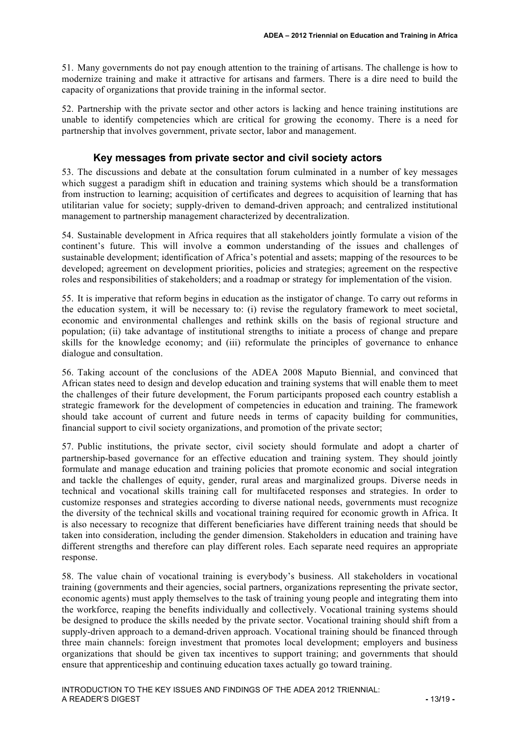51. Many governments do not pay enough attention to the training of artisans. The challenge is how to modernize training and make it attractive for artisans and farmers. There is a dire need to build the capacity of organizations that provide training in the informal sector.

52. Partnership with the private sector and other actors is lacking and hence training institutions are unable to identify competencies which are critical for growing the economy. There is a need for partnership that involves government, private sector, labor and management.

#### **Key messages from private sector and civil society actors**

53. The discussions and debate at the consultation forum culminated in a number of key messages which suggest a paradigm shift in education and training systems which should be a transformation from instruction to learning; acquisition of certificates and degrees to acquisition of learning that has utilitarian value for society; supply-driven to demand-driven approach; and centralized institutional management to partnership management characterized by decentralization.

54. Sustainable development in Africa requires that all stakeholders jointly formulate a vision of the continent's future. This will involve a **c**ommon understanding of the issues and challenges of sustainable development; identification of Africa's potential and assets; mapping of the resources to be developed; agreement on development priorities, policies and strategies; agreement on the respective roles and responsibilities of stakeholders; and a roadmap or strategy for implementation of the vision.

55. It is imperative that reform begins in education as the instigator of change. To carry out reforms in the education system, it will be necessary to: (i) revise the regulatory framework to meet societal, economic and environmental challenges and rethink skills on the basis of regional structure and population; (ii) take advantage of institutional strengths to initiate a process of change and prepare skills for the knowledge economy; and (iii) reformulate the principles of governance to enhance dialogue and consultation.

56. Taking account of the conclusions of the ADEA 2008 Maputo Biennial, and convinced that African states need to design and develop education and training systems that will enable them to meet the challenges of their future development, the Forum participants proposed each country establish a strategic framework for the development of competencies in education and training. The framework should take account of current and future needs in terms of capacity building for communities, financial support to civil society organizations, and promotion of the private sector;

57. Public institutions, the private sector, civil society should formulate and adopt a charter of partnership-based governance for an effective education and training system. They should jointly formulate and manage education and training policies that promote economic and social integration and tackle the challenges of equity, gender, rural areas and marginalized groups. Diverse needs in technical and vocational skills training call for multifaceted responses and strategies. In order to customize responses and strategies according to diverse national needs, governments must recognize the diversity of the technical skills and vocational training required for economic growth in Africa. It is also necessary to recognize that different beneficiaries have different training needs that should be taken into consideration, including the gender dimension. Stakeholders in education and training have different strengths and therefore can play different roles. Each separate need requires an appropriate response.

58. The value chain of vocational training is everybody's business. All stakeholders in vocational training (governments and their agencies, social partners, organizations representing the private sector, economic agents) must apply themselves to the task of training young people and integrating them into the workforce, reaping the benefits individually and collectively. Vocational training systems should be designed to produce the skills needed by the private sector. Vocational training should shift from a supply-driven approach to a demand-driven approach. Vocational training should be financed through three main channels: foreign investment that promotes local development; employers and business organizations that should be given tax incentives to support training; and governments that should ensure that apprenticeship and continuing education taxes actually go toward training.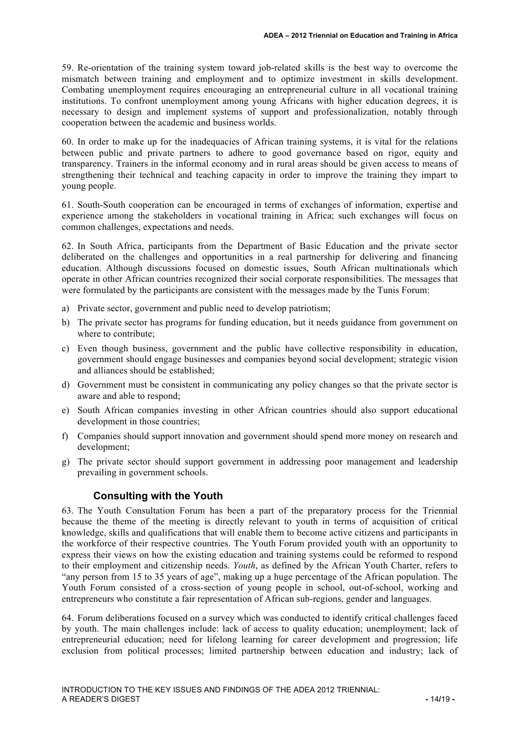59. Re-orientation of the training system toward job-related skills is the best way to overcome the mismatch between training and employment and to optimize investment in skills development. Combating unemployment requires encouraging an entrepreneurial culture in all vocational training institutions. To confront unemployment among young Africans with higher education degrees, it is necessary to design and implement systems of support and professionalization, notably through cooperation between the academic and business worlds.

60. In order to make up for the inadequacies of African training systems, it is vital for the relations between public and private partners to adhere to good governance based on rigor, equity and transparency. Trainers in the informal economy and in rural areas should be given access to means of strengthening their technical and teaching capacity in order to improve the training they impart to young people.

61. South-South cooperation can be encouraged in terms of exchanges of information, expertise and experience among the stakeholders in vocational training in Africa; such exchanges will focus on common challenges, expectations and needs.

62. In South Africa, participants from the Department of Basic Education and the private sector deliberated on the challenges and opportunities in a real partnership for delivering and financing education. Although discussions focused on domestic issues, South African multinationals which operate in other African countries recognized their social corporate responsibilities. The messages that were formulated by the participants are consistent with the messages made by the Tunis Forum:

- a) Private sector, government and public need to develop patriotism;
- b) The private sector has programs for funding education, but it needs guidance from government on where to contribute;
- c) Even though business, government and the public have collective responsibility in education, government should engage businesses and companies beyond social development; strategic vision and alliances should be established;
- d) Government must be consistent in communicating any policy changes so that the private sector is aware and able to respond;
- e) South African companies investing in other African countries should also support educational development in those countries;
- f) Companies should support innovation and government should spend more money on research and development;
- g) The private sector should support government in addressing poor management and leadership prevailing in government schools.

#### **Consulting with the Youth**

63. The Youth Consultation Forum has been a part of the preparatory process for the Triennial because the theme of the meeting is directly relevant to youth in terms of acquisition of critical knowledge, skills and qualifications that will enable them to become active citizens and participants in the workforce of their respective countries. The Youth Forum provided youth with an opportunity to express their views on how the existing education and training systems could be reformed to respond to their employment and citizenship needs. *Youth*, as defined by the African Youth Charter, refers to "any person from 15 to 35 years of age", making up a huge percentage of the African population. The Youth Forum consisted of a cross-section of young people in school, out-of-school, working and entrepreneurs who constitute a fair representation of African sub-regions, gender and languages.

64. Forum deliberations focused on a survey which was conducted to identify critical challenges faced by youth. The main challenges include: lack of access to quality education; unemployment; lack of entrepreneurial education; need for lifelong learning for career development and progression; life exclusion from political processes; limited partnership between education and industry; lack of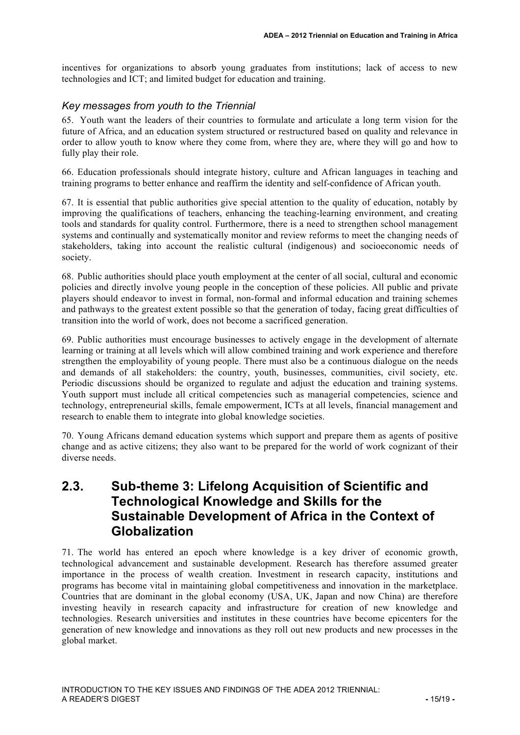incentives for organizations to absorb young graduates from institutions; lack of access to new technologies and ICT; and limited budget for education and training.

#### *Key messages from youth to the Triennial*

65. Youth want the leaders of their countries to formulate and articulate a long term vision for the future of Africa, and an education system structured or restructured based on quality and relevance in order to allow youth to know where they come from, where they are, where they will go and how to fully play their role.

66. Education professionals should integrate history, culture and African languages in teaching and training programs to better enhance and reaffirm the identity and self-confidence of African youth.

67. It is essential that public authorities give special attention to the quality of education, notably by improving the qualifications of teachers, enhancing the teaching-learning environment, and creating tools and standards for quality control. Furthermore, there is a need to strengthen school management systems and continually and systematically monitor and review reforms to meet the changing needs of stakeholders, taking into account the realistic cultural (indigenous) and socioeconomic needs of society.

68. Public authorities should place youth employment at the center of all social, cultural and economic policies and directly involve young people in the conception of these policies. All public and private players should endeavor to invest in formal, non-formal and informal education and training schemes and pathways to the greatest extent possible so that the generation of today, facing great difficulties of transition into the world of work, does not become a sacrificed generation.

69. Public authorities must encourage businesses to actively engage in the development of alternate learning or training at all levels which will allow combined training and work experience and therefore strengthen the employability of young people. There must also be a continuous dialogue on the needs and demands of all stakeholders: the country, youth, businesses, communities, civil society, etc. Periodic discussions should be organized to regulate and adjust the education and training systems. Youth support must include all critical competencies such as managerial competencies, science and technology, entrepreneurial skills, female empowerment, ICTs at all levels, financial management and research to enable them to integrate into global knowledge societies.

70. Young Africans demand education systems which support and prepare them as agents of positive change and as active citizens; they also want to be prepared for the world of work cognizant of their diverse needs.

# **2.3. Sub-theme 3: Lifelong Acquisition of Scientific and Technological Knowledge and Skills for the Sustainable Development of Africa in the Context of Globalization**

71. The world has entered an epoch where knowledge is a key driver of economic growth, technological advancement and sustainable development. Research has therefore assumed greater importance in the process of wealth creation. Investment in research capacity, institutions and programs has become vital in maintaining global competitiveness and innovation in the marketplace. Countries that are dominant in the global economy (USA, UK, Japan and now China) are therefore investing heavily in research capacity and infrastructure for creation of new knowledge and technologies. Research universities and institutes in these countries have become epicenters for the generation of new knowledge and innovations as they roll out new products and new processes in the global market.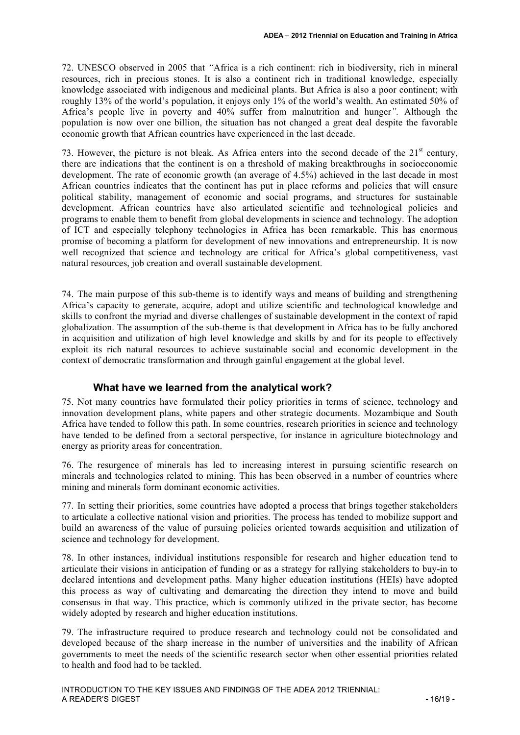72. UNESCO observed in 2005 that *"*Africa is a rich continent: rich in biodiversity, rich in mineral resources, rich in precious stones. It is also a continent rich in traditional knowledge, especially knowledge associated with indigenous and medicinal plants. But Africa is also a poor continent; with roughly 13% of the world's population, it enjoys only 1% of the world's wealth. An estimated 50% of Africa's people live in poverty and 40% suffer from malnutrition and hunger*".* Although the population is now over one billion, the situation has not changed a great deal despite the favorable economic growth that African countries have experienced in the last decade.

73. However, the picture is not bleak. As Africa enters into the second decade of the  $21<sup>st</sup>$  century, there are indications that the continent is on a threshold of making breakthroughs in socioeconomic development. The rate of economic growth (an average of 4.5%) achieved in the last decade in most African countries indicates that the continent has put in place reforms and policies that will ensure political stability, management of economic and social programs, and structures for sustainable development. African countries have also articulated scientific and technological policies and programs to enable them to benefit from global developments in science and technology. The adoption of ICT and especially telephony technologies in Africa has been remarkable. This has enormous promise of becoming a platform for development of new innovations and entrepreneurship. It is now well recognized that science and technology are critical for Africa's global competitiveness, vast natural resources, job creation and overall sustainable development.

74. The main purpose of this sub-theme is to identify ways and means of building and strengthening Africa's capacity to generate, acquire, adopt and utilize scientific and technological knowledge and skills to confront the myriad and diverse challenges of sustainable development in the context of rapid globalization. The assumption of the sub-theme is that development in Africa has to be fully anchored in acquisition and utilization of high level knowledge and skills by and for its people to effectively exploit its rich natural resources to achieve sustainable social and economic development in the context of democratic transformation and through gainful engagement at the global level.

### **What have we learned from the analytical work?**

75. Not many countries have formulated their policy priorities in terms of science, technology and innovation development plans, white papers and other strategic documents. Mozambique and South Africa have tended to follow this path. In some countries, research priorities in science and technology have tended to be defined from a sectoral perspective, for instance in agriculture biotechnology and energy as priority areas for concentration.

76. The resurgence of minerals has led to increasing interest in pursuing scientific research on minerals and technologies related to mining. This has been observed in a number of countries where mining and minerals form dominant economic activities.

77. In setting their priorities, some countries have adopted a process that brings together stakeholders to articulate a collective national vision and priorities. The process has tended to mobilize support and build an awareness of the value of pursuing policies oriented towards acquisition and utilization of science and technology for development.

78. In other instances, individual institutions responsible for research and higher education tend to articulate their visions in anticipation of funding or as a strategy for rallying stakeholders to buy-in to declared intentions and development paths. Many higher education institutions (HEIs) have adopted this process as way of cultivating and demarcating the direction they intend to move and build consensus in that way. This practice, which is commonly utilized in the private sector, has become widely adopted by research and higher education institutions.

79. The infrastructure required to produce research and technology could not be consolidated and developed because of the sharp increase in the number of universities and the inability of African governments to meet the needs of the scientific research sector when other essential priorities related to health and food had to be tackled.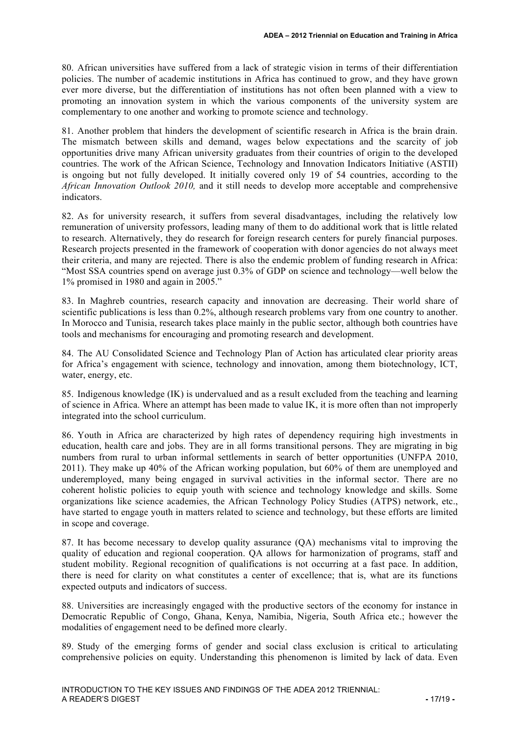80. African universities have suffered from a lack of strategic vision in terms of their differentiation policies. The number of academic institutions in Africa has continued to grow, and they have grown ever more diverse, but the differentiation of institutions has not often been planned with a view to promoting an innovation system in which the various components of the university system are complementary to one another and working to promote science and technology.

81. Another problem that hinders the development of scientific research in Africa is the brain drain. The mismatch between skills and demand, wages below expectations and the scarcity of job opportunities drive many African university graduates from their countries of origin to the developed countries. The work of the African Science, Technology and Innovation Indicators Initiative (ASTII) is ongoing but not fully developed. It initially covered only 19 of 54 countries, according to the *African Innovation Outlook 2010,* and it still needs to develop more acceptable and comprehensive indicators.

82. As for university research, it suffers from several disadvantages, including the relatively low remuneration of university professors, leading many of them to do additional work that is little related to research. Alternatively, they do research for foreign research centers for purely financial purposes. Research projects presented in the framework of cooperation with donor agencies do not always meet their criteria, and many are rejected. There is also the endemic problem of funding research in Africa: "Most SSA countries spend on average just 0.3% of GDP on science and technology—well below the 1% promised in 1980 and again in 2005."

83. In Maghreb countries, research capacity and innovation are decreasing. Their world share of scientific publications is less than 0.2%, although research problems vary from one country to another. In Morocco and Tunisia, research takes place mainly in the public sector, although both countries have tools and mechanisms for encouraging and promoting research and development.

84. The AU Consolidated Science and Technology Plan of Action has articulated clear priority areas for Africa's engagement with science, technology and innovation, among them biotechnology, ICT, water, energy, etc.

85. Indigenous knowledge (IK) is undervalued and as a result excluded from the teaching and learning of science in Africa. Where an attempt has been made to value IK, it is more often than not improperly integrated into the school curriculum.

86. Youth in Africa are characterized by high rates of dependency requiring high investments in education, health care and jobs. They are in all forms transitional persons. They are migrating in big numbers from rural to urban informal settlements in search of better opportunities (UNFPA 2010, 2011). They make up 40% of the African working population, but 60% of them are unemployed and underemployed, many being engaged in survival activities in the informal sector. There are no coherent holistic policies to equip youth with science and technology knowledge and skills. Some organizations like science academies, the African Technology Policy Studies (ATPS) network, etc., have started to engage youth in matters related to science and technology, but these efforts are limited in scope and coverage.

87. It has become necessary to develop quality assurance (QA) mechanisms vital to improving the quality of education and regional cooperation. QA allows for harmonization of programs, staff and student mobility. Regional recognition of qualifications is not occurring at a fast pace. In addition, there is need for clarity on what constitutes a center of excellence; that is, what are its functions expected outputs and indicators of success.

88. Universities are increasingly engaged with the productive sectors of the economy for instance in Democratic Republic of Congo, Ghana, Kenya, Namibia, Nigeria, South Africa etc.; however the modalities of engagement need to be defined more clearly.

89. Study of the emerging forms of gender and social class exclusion is critical to articulating comprehensive policies on equity. Understanding this phenomenon is limited by lack of data. Even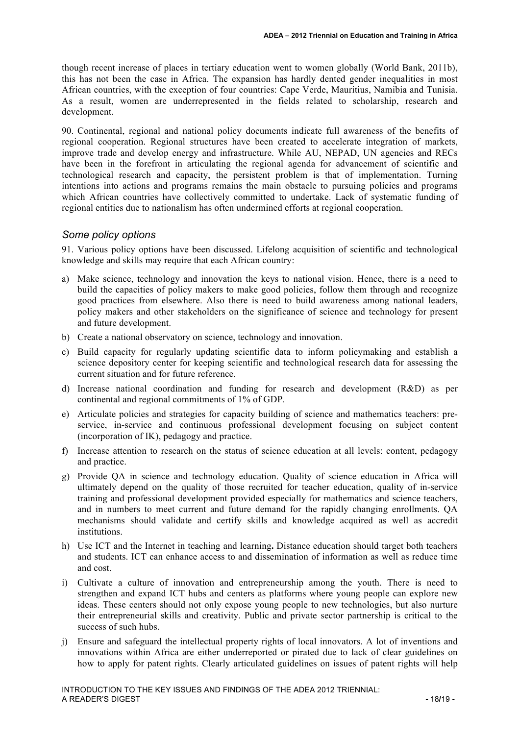though recent increase of places in tertiary education went to women globally (World Bank, 2011b), this has not been the case in Africa. The expansion has hardly dented gender inequalities in most African countries, with the exception of four countries: Cape Verde, Mauritius, Namibia and Tunisia. As a result, women are underrepresented in the fields related to scholarship, research and development.

90. Continental, regional and national policy documents indicate full awareness of the benefits of regional cooperation. Regional structures have been created to accelerate integration of markets, improve trade and develop energy and infrastructure. While AU, NEPAD, UN agencies and RECs have been in the forefront in articulating the regional agenda for advancement of scientific and technological research and capacity, the persistent problem is that of implementation. Turning intentions into actions and programs remains the main obstacle to pursuing policies and programs which African countries have collectively committed to undertake. Lack of systematic funding of regional entities due to nationalism has often undermined efforts at regional cooperation.

#### *Some policy options*

91. Various policy options have been discussed. Lifelong acquisition of scientific and technological knowledge and skills may require that each African country:

- a) Make science, technology and innovation the keys to national vision. Hence, there is a need to build the capacities of policy makers to make good policies, follow them through and recognize good practices from elsewhere. Also there is need to build awareness among national leaders, policy makers and other stakeholders on the significance of science and technology for present and future development.
- b) Create a national observatory on science, technology and innovation.
- c) Build capacity for regularly updating scientific data to inform policymaking and establish a science depository center for keeping scientific and technological research data for assessing the current situation and for future reference.
- d) Increase national coordination and funding for research and development (R&D) as per continental and regional commitments of 1% of GDP.
- e) Articulate policies and strategies for capacity building of science and mathematics teachers: preservice, in-service and continuous professional development focusing on subject content (incorporation of IK), pedagogy and practice.
- f) Increase attention to research on the status of science education at all levels: content, pedagogy and practice.
- g) Provide QA in science and technology education. Quality of science education in Africa will ultimately depend on the quality of those recruited for teacher education, quality of in-service training and professional development provided especially for mathematics and science teachers, and in numbers to meet current and future demand for the rapidly changing enrollments. QA mechanisms should validate and certify skills and knowledge acquired as well as accredit institutions.
- h) Use ICT and the Internet in teaching and learning**.** Distance education should target both teachers and students. ICT can enhance access to and dissemination of information as well as reduce time and cost.
- i) Cultivate a culture of innovation and entrepreneurship among the youth. There is need to strengthen and expand ICT hubs and centers as platforms where young people can explore new ideas. These centers should not only expose young people to new technologies, but also nurture their entrepreneurial skills and creativity. Public and private sector partnership is critical to the success of such hubs.
- j) Ensure and safeguard the intellectual property rights of local innovators. A lot of inventions and innovations within Africa are either underreported or pirated due to lack of clear guidelines on how to apply for patent rights. Clearly articulated guidelines on issues of patent rights will help